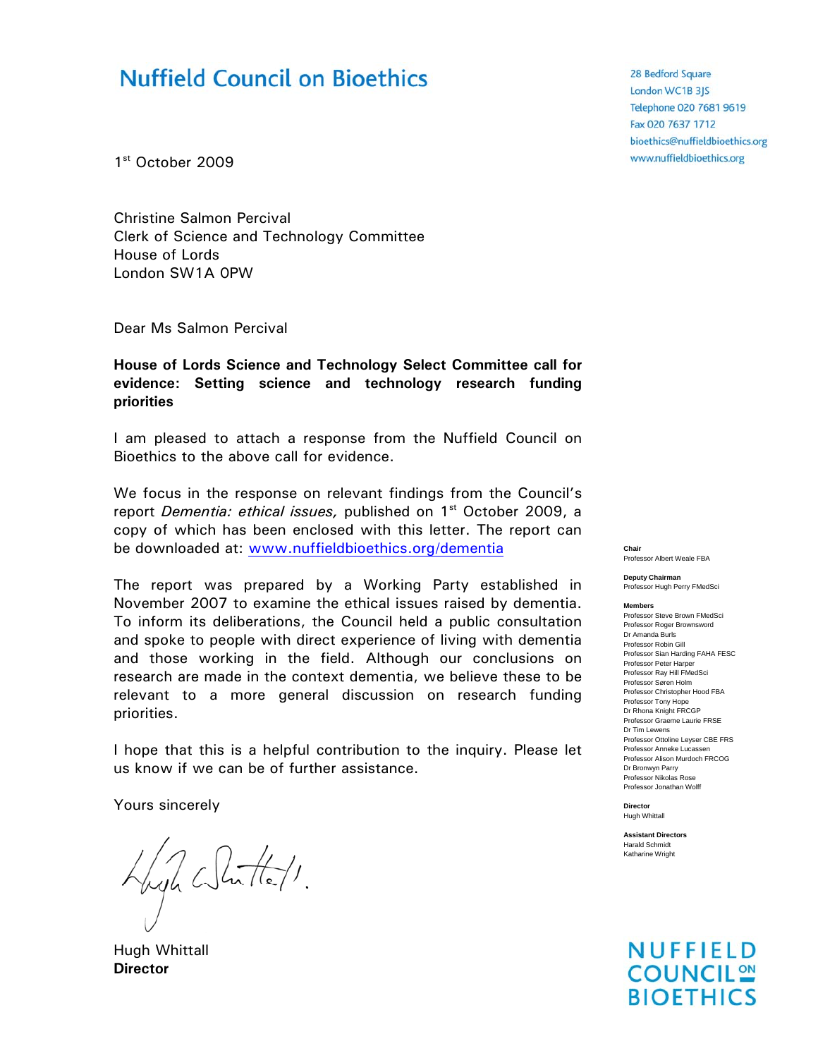# **Nuffield Council on Bioethics**

1st October 2009

Christine Salmon Percival Clerk of Science and Technology Committee House of Lords London SW1A 0PW

Dear Ms Salmon Percival

## **House of Lords Science and Technology Select Committee call for evidence: Setting science and technology research funding priorities**

I am pleased to attach a response from the Nuffield Council on Bioethics to the above call for evidence.

We focus in the response on relevant findings from the Council's report *Dementia: ethical issues*, published on 1<sup>st</sup> October 2009, a copy of which has been enclosed with this letter. The report can be downloaded at: www.nuffieldbioethics.org/dementia

The report was prepared by a Working Party established in November 2007 to examine the ethical issues raised by dementia. To inform its deliberations, the Council held a public consultation and spoke to people with direct experience of living with dementia and those working in the field. Although our conclusions on research are made in the context dementia, we believe these to be relevant to a more general discussion on research funding priorities.

I hope that this is a helpful contribution to the inquiry. Please let us know if we can be of further assistance.

Yours sincerely

Llugh White/1.

Hugh Whittall **Director** 

28 Bedford Square London WC1B 3JS Telephone 020 7681 9619 Fax 020 7637 1712 bioethics@nuffieldbioethics.org www.nuffieldbioethics.org

**Chair**  Professor Albert Weale FBA

**Deputy Chairman**  Professor Hugh Perry FMedSci

**Members**

Professor Steve Brown FMedSci Professor Roger Brownsword Dr Amanda Burls Professor Robin Gill Professor Sian Harding FAHA FESC Professor Peter Harper Professor Ray Hill FMedSci Professor Søren Holm Professor Christopher Hood FBA Professor Tony Hope Dr Rhona Knight FRCGP Professor Graeme Laurie FRSE Dr Tim Lewens Professor Ottoline Leyser CBE FRS Professor Anneke Lucassen Professor Alison Murdoch FRCOG Dr Bronwyn Parry Professor Nikolas Rose Professor Jonathan Wolff

**Director**  Hugh Whittall

**Assistant Directors**  Harald Schmidt Katharine Wright

**NUFFIELD COUNCIL<sup>ON</sup> BIOETHICS**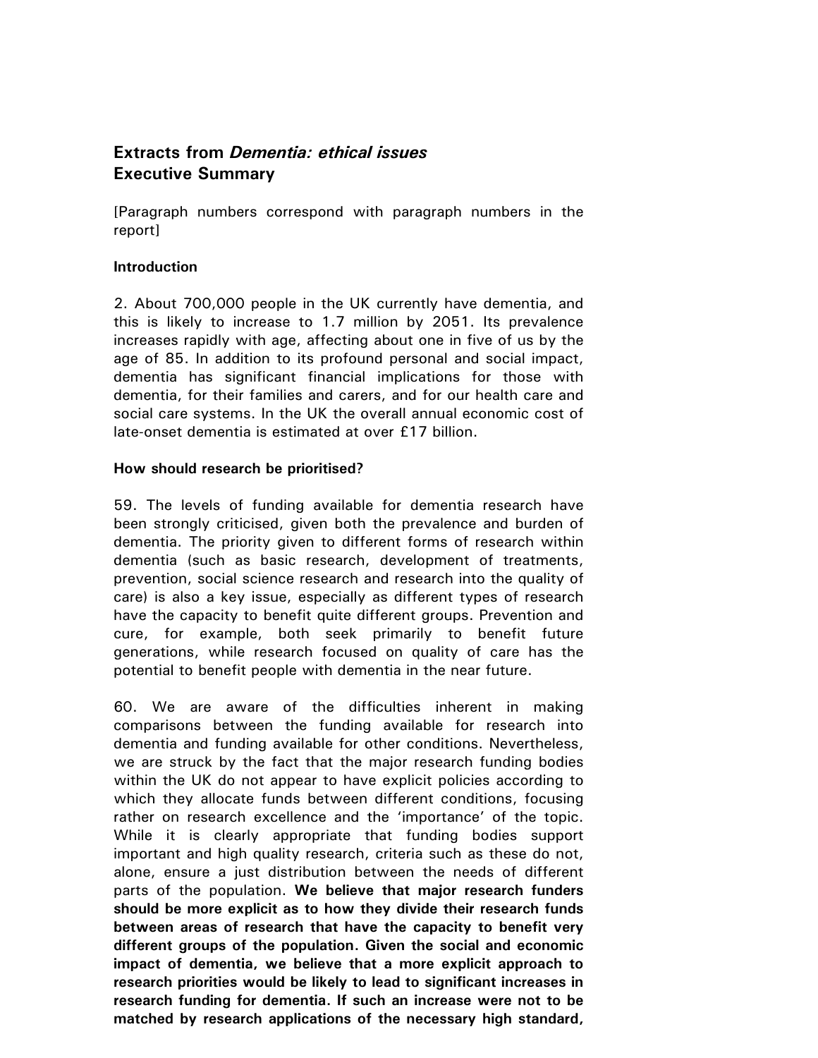## **Extracts from** *Dementia: ethical issues*  **Executive Summary**

[Paragraph numbers correspond with paragraph numbers in the report]

## **Introduction**

2. About 700,000 people in the UK currently have dementia, and this is likely to increase to 1.7 million by 2051. Its prevalence increases rapidly with age, affecting about one in five of us by the age of 85. In addition to its profound personal and social impact, dementia has significant financial implications for those with dementia, for their families and carers, and for our health care and social care systems. In the UK the overall annual economic cost of late-onset dementia is estimated at over £17 billion.

#### **How should research be prioritised?**

59. The levels of funding available for dementia research have been strongly criticised, given both the prevalence and burden of dementia. The priority given to different forms of research within dementia (such as basic research, development of treatments, prevention, social science research and research into the quality of care) is also a key issue, especially as different types of research have the capacity to benefit quite different groups. Prevention and cure, for example, both seek primarily to benefit future generations, while research focused on quality of care has the potential to benefit people with dementia in the near future.

60. We are aware of the difficulties inherent in making comparisons between the funding available for research into dementia and funding available for other conditions. Nevertheless, we are struck by the fact that the major research funding bodies within the UK do not appear to have explicit policies according to which they allocate funds between different conditions, focusing rather on research excellence and the 'importance' of the topic. While it is clearly appropriate that funding bodies support important and high quality research, criteria such as these do not, alone, ensure a just distribution between the needs of different parts of the population. **We believe that major research funders should be more explicit as to how they divide their research funds between areas of research that have the capacity to benefit very different groups of the population. Given the social and economic impact of dementia, we believe that a more explicit approach to research priorities would be likely to lead to significant increases in research funding for dementia. If such an increase were not to be matched by research applications of the necessary high standard,**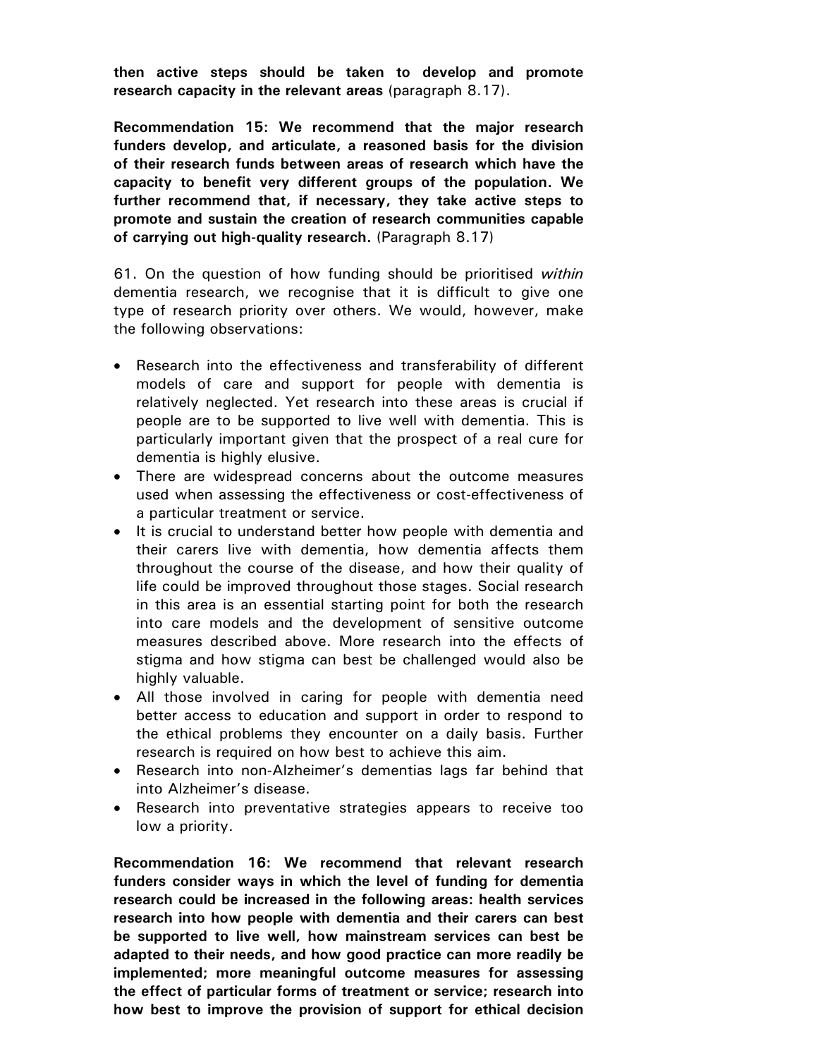**then active steps should be taken to develop and promote research capacity in the relevant areas** (paragraph 8.17).

**Recommendation 15: We recommend that the major research funders develop, and articulate, a reasoned basis for the division of their research funds between areas of research which have the capacity to benefit very different groups of the population. We further recommend that, if necessary, they take active steps to promote and sustain the creation of research communities capable of carrying out high-quality research.** (Paragraph 8.17)

61. On the question of how funding should be prioritised *within*  dementia research, we recognise that it is difficult to give one type of research priority over others. We would, however, make the following observations:

- Research into the effectiveness and transferability of different models of care and support for people with dementia is relatively neglected. Yet research into these areas is crucial if people are to be supported to live well with dementia. This is particularly important given that the prospect of a real cure for dementia is highly elusive.
- There are widespread concerns about the outcome measures used when assessing the effectiveness or cost-effectiveness of a particular treatment or service.
- It is crucial to understand better how people with dementia and their carers live with dementia, how dementia affects them throughout the course of the disease, and how their quality of life could be improved throughout those stages. Social research in this area is an essential starting point for both the research into care models and the development of sensitive outcome measures described above. More research into the effects of stigma and how stigma can best be challenged would also be highly valuable.
- All those involved in caring for people with dementia need better access to education and support in order to respond to the ethical problems they encounter on a daily basis. Further research is required on how best to achieve this aim.
- Research into non-Alzheimer's dementias lags far behind that into Alzheimer's disease.
- Research into preventative strategies appears to receive too low a priority.

**Recommendation 16: We recommend that relevant research funders consider ways in which the level of funding for dementia research could be increased in the following areas: health services research into how people with dementia and their carers can best be supported to live well, how mainstream services can best be adapted to their needs, and how good practice can more readily be implemented; more meaningful outcome measures for assessing the effect of particular forms of treatment or service; research into how best to improve the provision of support for ethical decision**